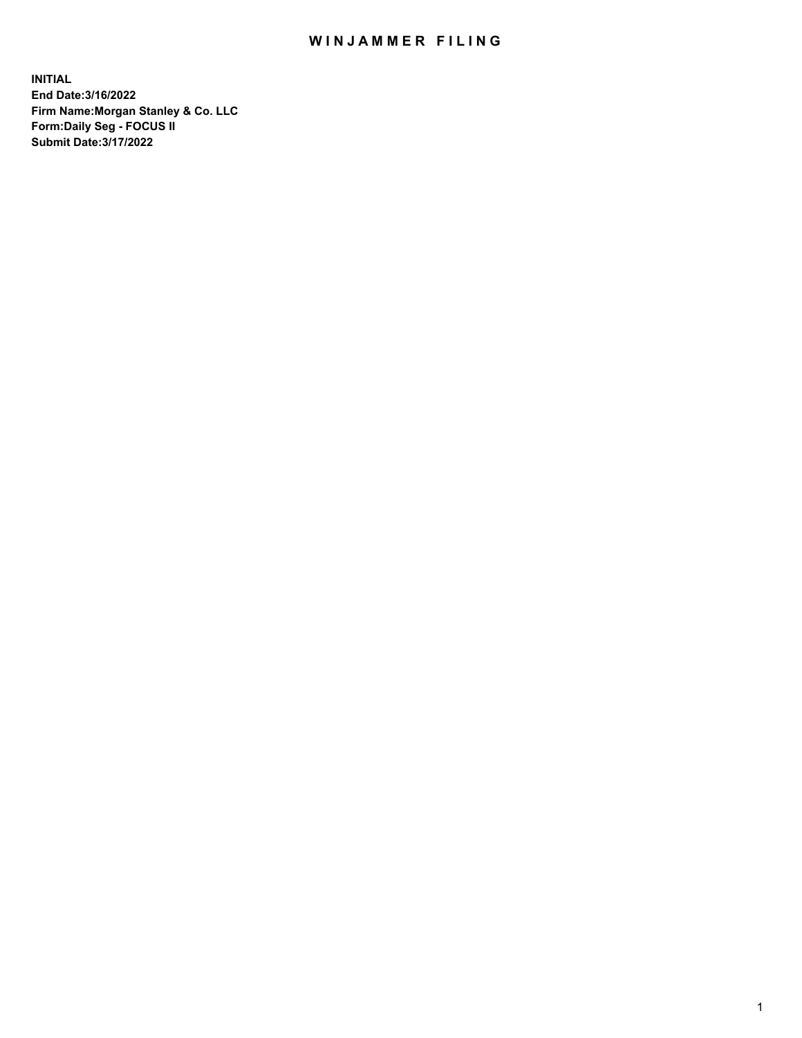## WIN JAMMER FILING

**INITIAL End Date:3/16/2022 Firm Name:Morgan Stanley & Co. LLC Form:Daily Seg - FOCUS II Submit Date:3/17/2022**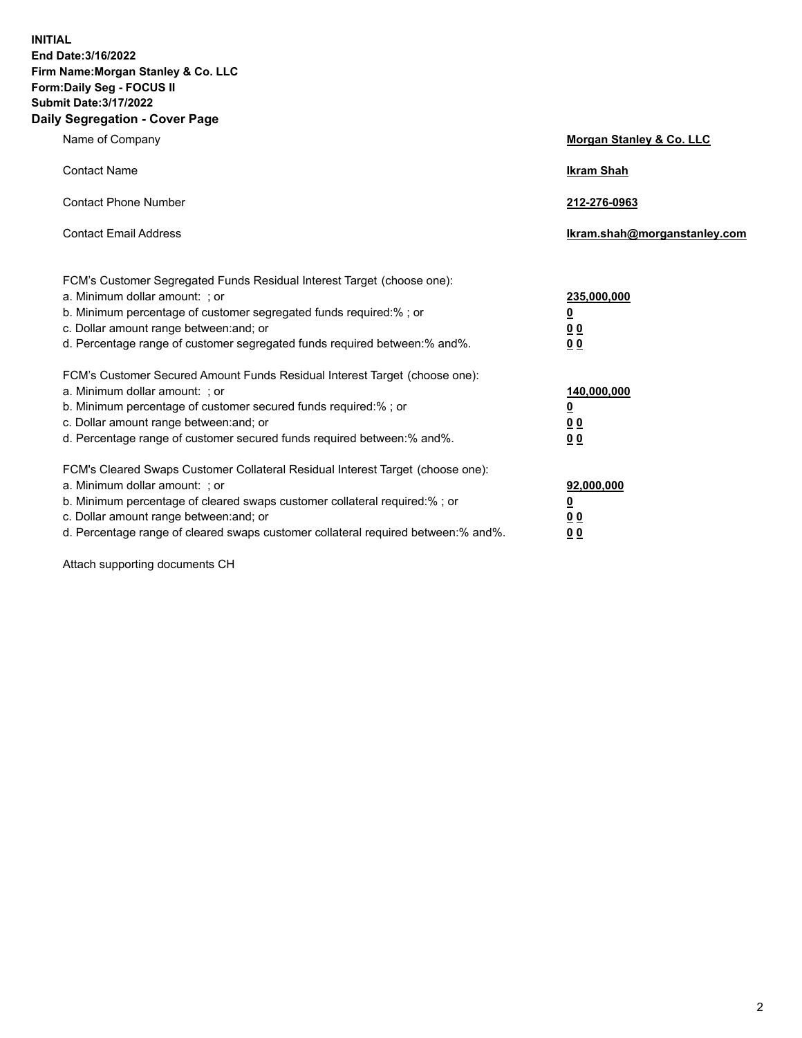**INITIAL End Date:3/16/2022 Firm Name:Morgan Stanley & Co. LLC Form:Daily Seg - FOCUS II Submit Date:3/17/2022 Daily Segregation - Cover Page**

| Name of Company                                                                                                                                                                                                                                                                                                                | Morgan Stanley & Co. LLC                               |
|--------------------------------------------------------------------------------------------------------------------------------------------------------------------------------------------------------------------------------------------------------------------------------------------------------------------------------|--------------------------------------------------------|
| <b>Contact Name</b>                                                                                                                                                                                                                                                                                                            | <b>Ikram Shah</b>                                      |
| <b>Contact Phone Number</b>                                                                                                                                                                                                                                                                                                    | 212-276-0963                                           |
| <b>Contact Email Address</b>                                                                                                                                                                                                                                                                                                   | Ikram.shah@morganstanley.com                           |
| FCM's Customer Segregated Funds Residual Interest Target (choose one):<br>a. Minimum dollar amount: ; or<br>b. Minimum percentage of customer segregated funds required:% ; or<br>c. Dollar amount range between: and; or<br>d. Percentage range of customer segregated funds required between:% and%.                         | 235,000,000<br><u>0</u><br>0 <sup>0</sup><br><u>00</u> |
| FCM's Customer Secured Amount Funds Residual Interest Target (choose one):<br>a. Minimum dollar amount: ; or<br>b. Minimum percentage of customer secured funds required:% ; or<br>c. Dollar amount range between: and; or<br>d. Percentage range of customer secured funds required between:% and%.                           | 140,000,000<br><u>0</u><br><u>00</u><br>00             |
| FCM's Cleared Swaps Customer Collateral Residual Interest Target (choose one):<br>a. Minimum dollar amount: ; or<br>b. Minimum percentage of cleared swaps customer collateral required:% ; or<br>c. Dollar amount range between: and; or<br>d. Percentage range of cleared swaps customer collateral required between:% and%. | 92,000,000<br><u>0</u><br><u>00</u><br>00              |

Attach supporting documents CH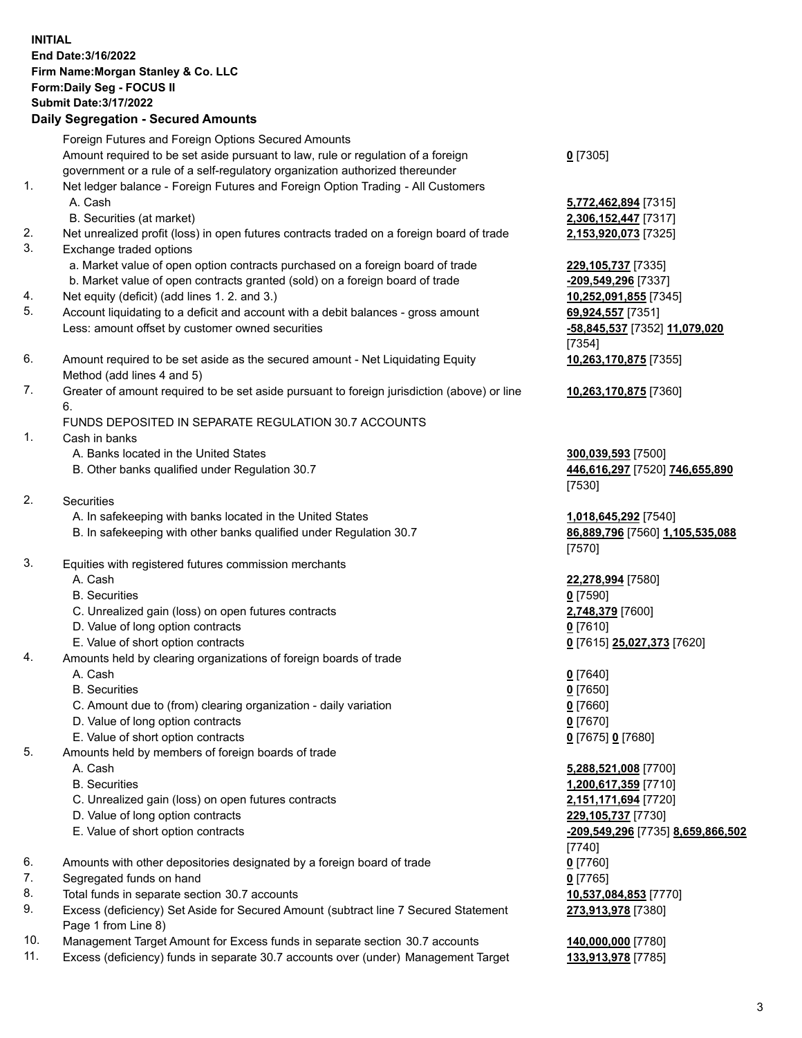## **INITIAL End Date:3/16/2022 Firm Name:Morgan Stanley & Co. LLC Form:Daily Seg - FOCUS II Submit Date:3/17/2022 Daily Segregation - Secured Amounts**

Foreign Futures and Foreign Options Secured Amounts Amount required to be set aside pursuant to law, rule or regulation of a foreign government or a rule of a self-regulatory organization authorized thereunder 1. Net ledger balance - Foreign Futures and Foreign Option Trading - All Customers A. Cash **5,772,462,894** [7315] B. Securities (at market) **2,306,152,447** [7317] 2. Net unrealized profit (loss) in open futures contracts traded on a foreign board of trade **2,153,920,073** [7325] 3. Exchange traded options a. Market value of open option contracts purchased on a foreign board of trade **229,105,737** [7335] b. Market value of open contracts granted (sold) on a foreign board of trade **-209,549,296** [7337] 4. Net equity (deficit) (add lines 1. 2. and 3.) **10,252,091,855** [7345] 5. Account liquidating to a deficit and account with a debit balances - gross amount **69,924,557** [7351] Less: amount offset by customer owned securities **-58,845,537** [7352] **11,079,020** 6. Amount required to be set aside as the secured amount - Net Liquidating Equity Method (add lines 4 and 5) 7. Greater of amount required to be set aside pursuant to foreign jurisdiction (above) or line 6. FUNDS DEPOSITED IN SEPARATE REGULATION 30.7 ACCOUNTS 1. Cash in banks A. Banks located in the United States **300,039,593** [7500] B. Other banks qualified under Regulation 30.7 **446,616,297** [7520] **746,655,890** 2. Securities A. In safekeeping with banks located in the United States **1,018,645,292** [7540] B. In safekeeping with other banks qualified under Regulation 30.7 **86,889,796** [7560] **1,105,535,088**

- 
- 3. Equities with registered futures commission merchants
	-
	- B. Securities **0** [7590]
	- C. Unrealized gain (loss) on open futures contracts **2,748,379** [7600]
	- D. Value of long option contracts **0** [7610]
	- E. Value of short option contracts **0** [7615] **25,027,373** [7620]
- 4. Amounts held by clearing organizations of foreign boards of trade
	-
	- B. Securities **0** [7650]
	- C. Amount due to (from) clearing organization daily variation **0** [7660]
	- D. Value of long option contracts **0** [7670]
	- E. Value of short option contracts **0** [7675] **0** [7680]
- 5. Amounts held by members of foreign boards of trade
	-
	-
	- C. Unrealized gain (loss) on open futures contracts **2,151,171,694** [7720]
	- D. Value of long option contracts **229,105,737** [7730]
	-
- 6. Amounts with other depositories designated by a foreign board of trade **0** [7760]
- 7. Segregated funds on hand **0** [7765]
- 8. Total funds in separate section 30.7 accounts **10,537,084,853** [7770]
- 9. Excess (deficiency) Set Aside for Secured Amount (subtract line 7 Secured Statement Page 1 from Line 8)
- 10. Management Target Amount for Excess funds in separate section 30.7 accounts **140,000,000** [7780]
- 11. Excess (deficiency) funds in separate 30.7 accounts over (under) Management Target **133,913,978** [7785]

**0** [7305]

[7354] **10,263,170,875** [7355]

**10,263,170,875** [7360]

[7530]

[7570]

A. Cash **22,278,994** [7580]

A. Cash **0** [7640]

 A. Cash **5,288,521,008** [7700] B. Securities **1,200,617,359** [7710] E. Value of short option contracts **-209,549,296** [7735] **8,659,866,502** [7740] **273,913,978** [7380]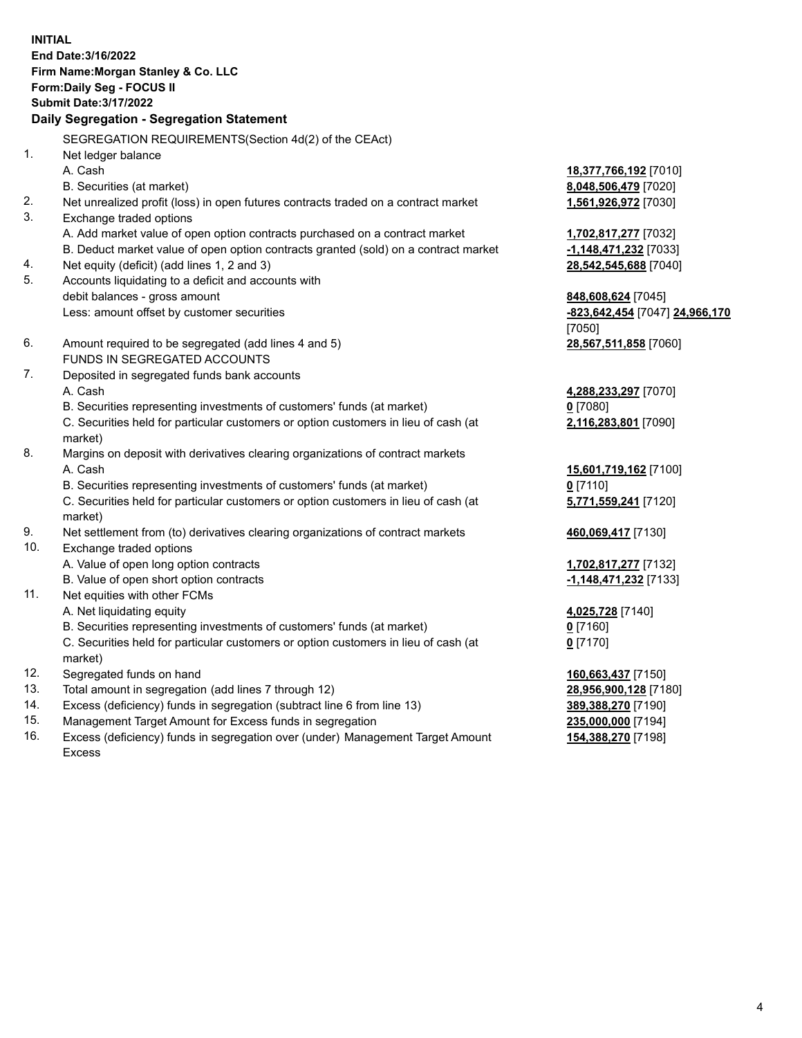**INITIAL End Date:3/16/2022 Firm Name:Morgan Stanley & Co. LLC Form:Daily Seg - FOCUS II Submit Date:3/17/2022 Daily Segregation - Segregation Statement** SEGREGATION REQUIREMENTS(Section 4d(2) of the CEAct) 1. Net ledger balance A. Cash **18,377,766,192** [7010] B. Securities (at market) **8,048,506,479** [7020] 2. Net unrealized profit (loss) in open futures contracts traded on a contract market **1,561,926,972** [7030] 3. Exchange traded options A. Add market value of open option contracts purchased on a contract market **1,702,817,277** [7032] B. Deduct market value of open option contracts granted (sold) on a contract market **-1,148,471,232** [7033] 4. Net equity (deficit) (add lines 1, 2 and 3) **28,542,545,688** [7040] 5. Accounts liquidating to a deficit and accounts with debit balances - gross amount **848,608,624** [7045] Less: amount offset by customer securities **-823,642,454** [7047] **24,966,170** [7050] 6. Amount required to be segregated (add lines 4 and 5) **28,567,511,858** [7060] FUNDS IN SEGREGATED ACCOUNTS 7. Deposited in segregated funds bank accounts A. Cash **4,288,233,297** [7070] B. Securities representing investments of customers' funds (at market) **0** [7080] C. Securities held for particular customers or option customers in lieu of cash (at market) **2,116,283,801** [7090] 8. Margins on deposit with derivatives clearing organizations of contract markets A. Cash **15,601,719,162** [7100] B. Securities representing investments of customers' funds (at market) **0** [7110] C. Securities held for particular customers or option customers in lieu of cash (at market) **5,771,559,241** [7120] 9. Net settlement from (to) derivatives clearing organizations of contract markets **460,069,417** [7130] 10. Exchange traded options A. Value of open long option contracts **1,702,817,277** [7132] B. Value of open short option contracts **and the set of our of the set of our of the set of the set of the set of the set of the set of the set of the set of the set of the set of the set of the set of the set of the set o** 11. Net equities with other FCMs A. Net liquidating equity **4,025,728** [7140] B. Securities representing investments of customers' funds (at market) **0** [7160] C. Securities held for particular customers or option customers in lieu of cash (at market) **0** [7170] 12. Segregated funds on hand **160,663,437** [7150] 13. Total amount in segregation (add lines 7 through 12) **28,956,900,128** [7180] 14. Excess (deficiency) funds in segregation (subtract line 6 from line 13) **389,388,270** [7190] 15. Management Target Amount for Excess funds in segregation **235,000,000** [7194]

16. Excess (deficiency) funds in segregation over (under) Management Target Amount Excess

**154,388,270** [7198]